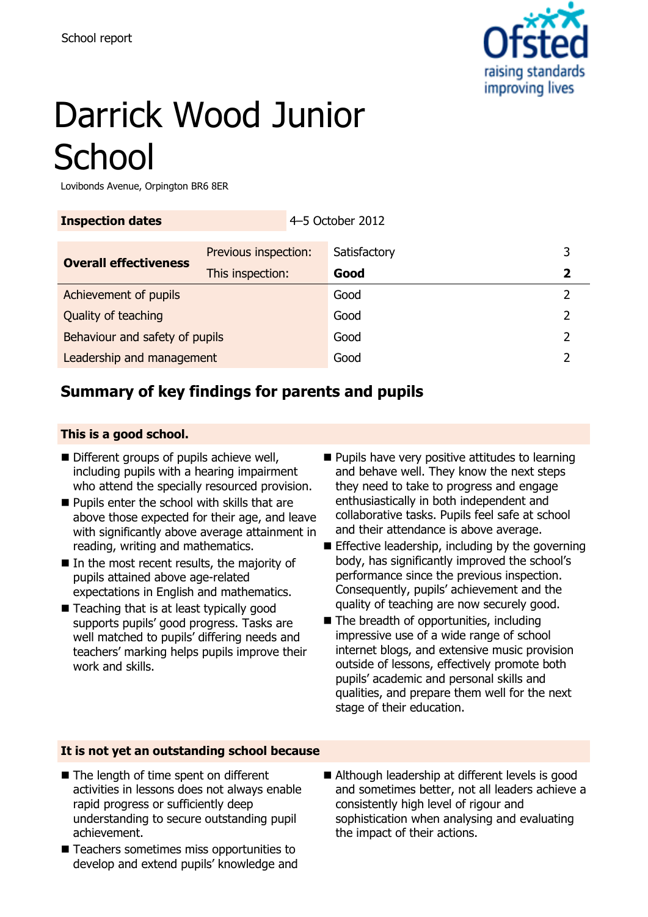

# Darrick Wood Junior **School**

Lovibonds Avenue, Orpington BR6 8ER

| <b>Inspection dates</b>        |                      | 4-5 October 2012 |              |  |  |
|--------------------------------|----------------------|------------------|--------------|--|--|
| <b>Overall effectiveness</b>   | Previous inspection: |                  | Satisfactory |  |  |
|                                | This inspection:     |                  | Good         |  |  |
| Achievement of pupils          |                      | Good             |              |  |  |
| Quality of teaching            |                      | Good             |              |  |  |
| Behaviour and safety of pupils |                      |                  | Good         |  |  |
| Leadership and management      |                      |                  | Good         |  |  |
|                                |                      |                  |              |  |  |

### **Summary of key findings for parents and pupils**

#### **This is a good school.**

- Different groups of pupils achieve well, including pupils with a hearing impairment who attend the specially resourced provision.
- **Pupils enter the school with skills that are** above those expected for their age, and leave with significantly above average attainment in reading, writing and mathematics.
- In the most recent results, the majority of pupils attained above age-related expectations in English and mathematics.
- Teaching that is at least typically good supports pupils' good progress. Tasks are well matched to pupils' differing needs and teachers' marking helps pupils improve their work and skills.
- $\blacksquare$  Pupils have very positive attitudes to learning and behave well. They know the next steps they need to take to progress and engage enthusiastically in both independent and collaborative tasks. Pupils feel safe at school and their attendance is above average.
- $\blacksquare$  Effective leadership, including by the governing body, has significantly improved the school's performance since the previous inspection. Consequently, pupils' achievement and the quality of teaching are now securely good.
- The breadth of opportunities, including impressive use of a wide range of school internet blogs, and extensive music provision outside of lessons, effectively promote both pupils' academic and personal skills and qualities, and prepare them well for the next stage of their education.

### **It is not yet an outstanding school because**

- The length of time spent on different activities in lessons does not always enable rapid progress or sufficiently deep understanding to secure outstanding pupil achievement.
- Teachers sometimes miss opportunities to develop and extend pupils' knowledge and
- Although leadership at different levels is good and sometimes better, not all leaders achieve a consistently high level of rigour and sophistication when analysing and evaluating the impact of their actions.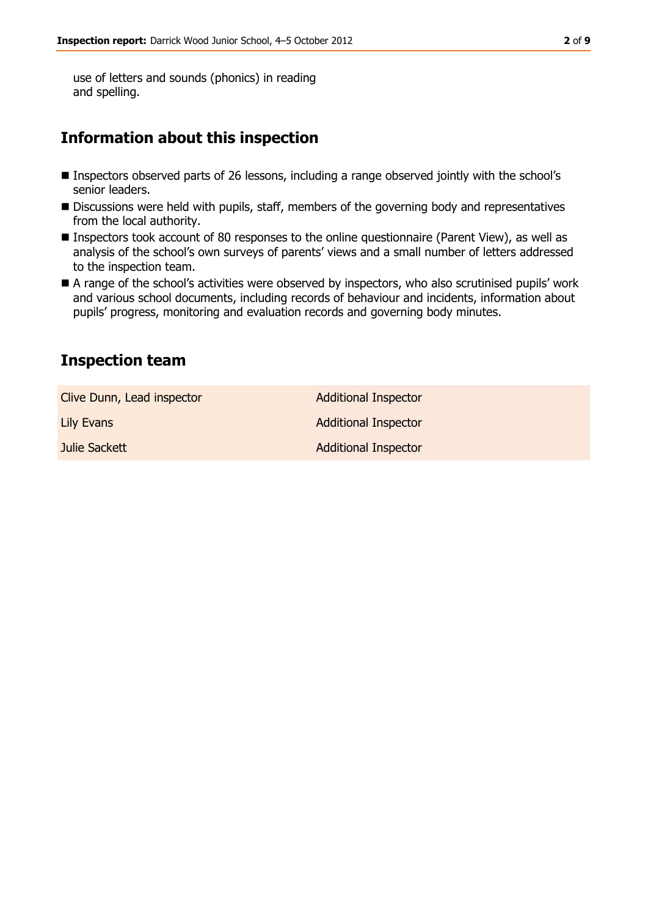use of letters and sounds (phonics) in reading and spelling.

### **Information about this inspection**

- Inspectors observed parts of 26 lessons, including a range observed jointly with the school's senior leaders.
- Discussions were held with pupils, staff, members of the governing body and representatives from the local authority.
- Inspectors took account of 80 responses to the online questionnaire (Parent View), as well as analysis of the school's own surveys of parents' views and a small number of letters addressed to the inspection team.
- A range of the school's activities were observed by inspectors, who also scrutinised pupils' work and various school documents, including records of behaviour and incidents, information about pupils' progress, monitoring and evaluation records and governing body minutes.

### **Inspection team**

| Clive Dunn, Lead inspector | <b>Additional Inspector</b> |
|----------------------------|-----------------------------|
| Lily Evans                 | <b>Additional Inspector</b> |
| Julie Sackett              | <b>Additional Inspector</b> |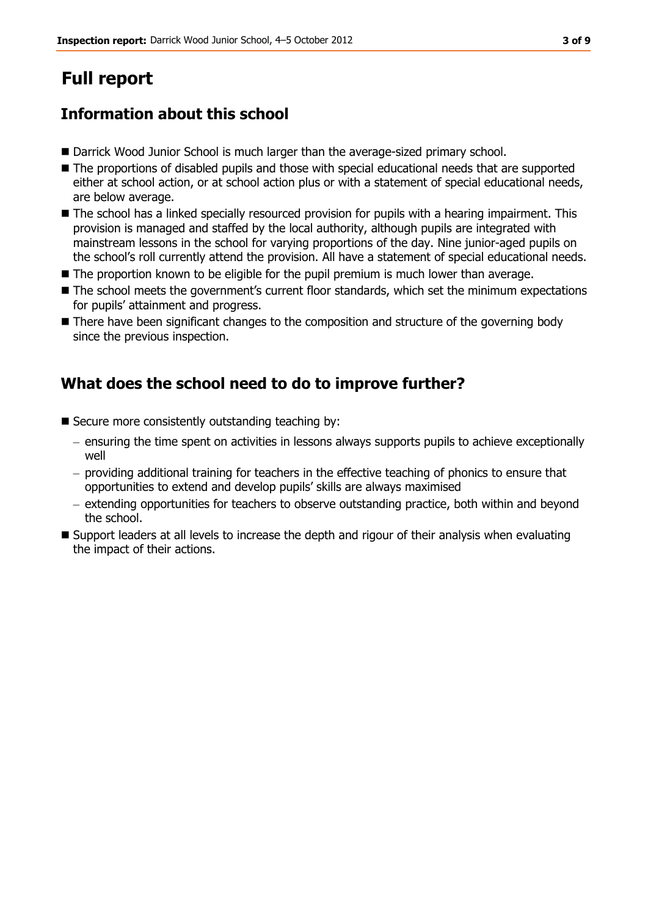## **Full report**

### **Information about this school**

- Darrick Wood Junior School is much larger than the average-sized primary school.
- The proportions of disabled pupils and those with special educational needs that are supported either at school action, or at school action plus or with a statement of special educational needs, are below average.
- $\blacksquare$  The school has a linked specially resourced provision for pupils with a hearing impairment. This provision is managed and staffed by the local authority, although pupils are integrated with mainstream lessons in the school for varying proportions of the day. Nine junior-aged pupils on the school's roll currently attend the provision. All have a statement of special educational needs.
- The proportion known to be eligible for the pupil premium is much lower than average.
- The school meets the government's current floor standards, which set the minimum expectations for pupils' attainment and progress.
- There have been significant changes to the composition and structure of the governing body since the previous inspection.

### **What does the school need to do to improve further?**

- $\blacksquare$  Secure more consistently outstanding teaching by:
	- ensuring the time spent on activities in lessons always supports pupils to achieve exceptionally well
	- $-$  providing additional training for teachers in the effective teaching of phonics to ensure that opportunities to extend and develop pupils' skills are always maximised
	- extending opportunities for teachers to observe outstanding practice, both within and beyond the school.
- Support leaders at all levels to increase the depth and rigour of their analysis when evaluating the impact of their actions.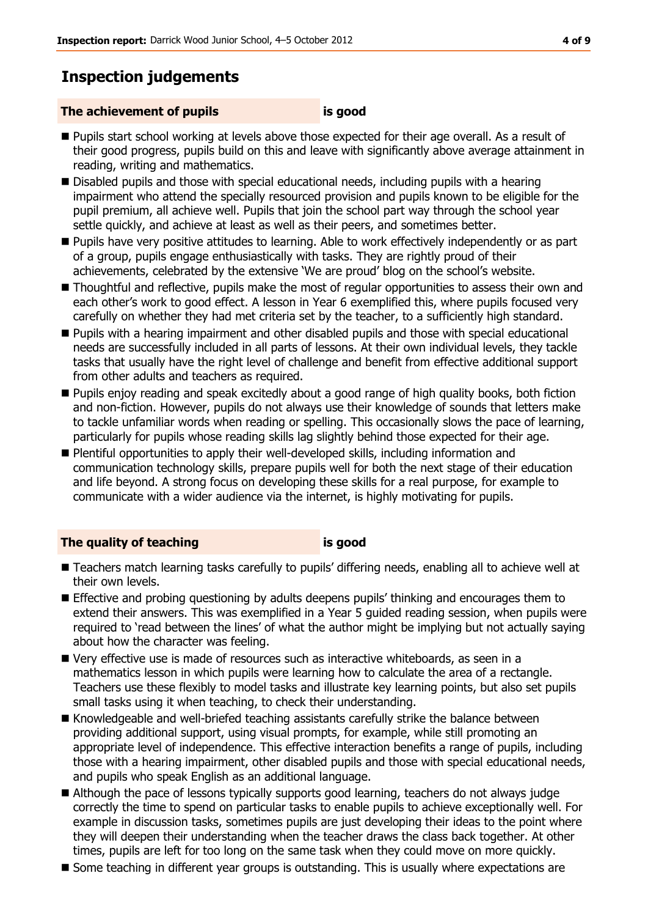### **Inspection judgements**

#### **The achievement of pupils is good**

- Pupils start school working at levels above those expected for their age overall. As a result of their good progress, pupils build on this and leave with significantly above average attainment in reading, writing and mathematics.
- Disabled pupils and those with special educational needs, including pupils with a hearing impairment who attend the specially resourced provision and pupils known to be eligible for the pupil premium, all achieve well. Pupils that join the school part way through the school year settle quickly, and achieve at least as well as their peers, and sometimes better.
- Pupils have very positive attitudes to learning. Able to work effectively independently or as part of a group, pupils engage enthusiastically with tasks. They are rightly proud of their achievements, celebrated by the extensive 'We are proud' blog on the school's website.
- Thoughtful and reflective, pupils make the most of regular opportunities to assess their own and each other's work to good effect. A lesson in Year 6 exemplified this, where pupils focused very carefully on whether they had met criteria set by the teacher, to a sufficiently high standard.
- **Pupils with a hearing impairment and other disabled pupils and those with special educational** needs are successfully included in all parts of lessons. At their own individual levels, they tackle tasks that usually have the right level of challenge and benefit from effective additional support from other adults and teachers as required.
- **Pupils enjoy reading and speak excitedly about a good range of high quality books, both fiction** and non-fiction. However, pupils do not always use their knowledge of sounds that letters make to tackle unfamiliar words when reading or spelling. This occasionally slows the pace of learning, particularly for pupils whose reading skills lag slightly behind those expected for their age.
- Plentiful opportunities to apply their well-developed skills, including information and communication technology skills, prepare pupils well for both the next stage of their education and life beyond. A strong focus on developing these skills for a real purpose, for example to communicate with a wider audience via the internet, is highly motivating for pupils.

#### **The quality of teaching is good**

- Teachers match learning tasks carefully to pupils' differing needs, enabling all to achieve well at their own levels.
- **Effective and probing questioning by adults deepens pupils' thinking and encourages them to** extend their answers. This was exemplified in a Year 5 guided reading session, when pupils were required to 'read between the lines' of what the author might be implying but not actually saying about how the character was feeling.
- Very effective use is made of resources such as interactive whiteboards, as seen in a mathematics lesson in which pupils were learning how to calculate the area of a rectangle. Teachers use these flexibly to model tasks and illustrate key learning points, but also set pupils small tasks using it when teaching, to check their understanding.
- Knowledgeable and well-briefed teaching assistants carefully strike the balance between providing additional support, using visual prompts, for example, while still promoting an appropriate level of independence. This effective interaction benefits a range of pupils, including those with a hearing impairment, other disabled pupils and those with special educational needs, and pupils who speak English as an additional language.
- Although the pace of lessons typically supports good learning, teachers do not always judge correctly the time to spend on particular tasks to enable pupils to achieve exceptionally well. For example in discussion tasks, sometimes pupils are just developing their ideas to the point where they will deepen their understanding when the teacher draws the class back together. At other times, pupils are left for too long on the same task when they could move on more quickly.
- Some teaching in different year groups is outstanding. This is usually where expectations are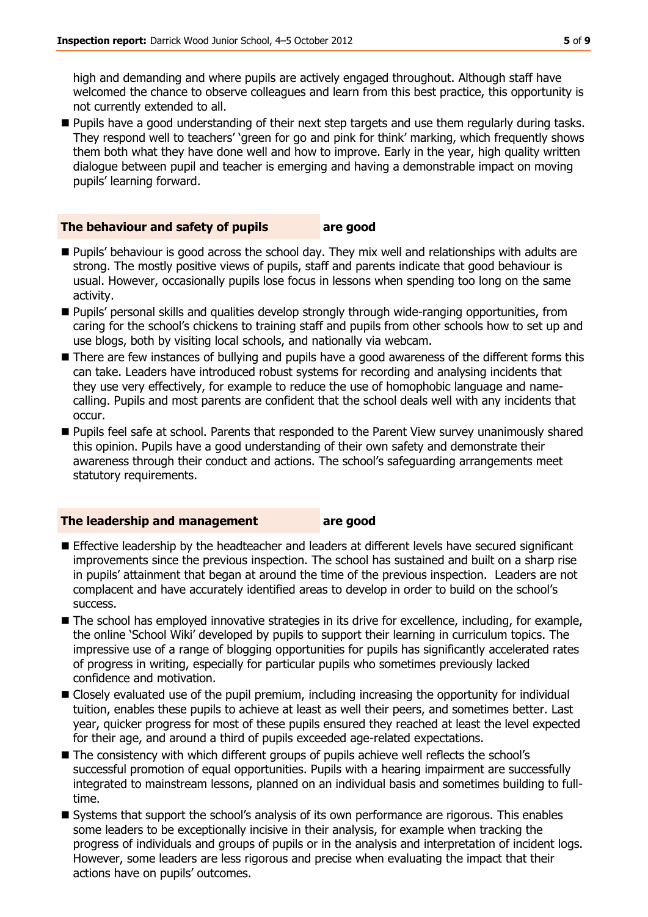high and demanding and where pupils are actively engaged throughout. Although staff have welcomed the chance to observe colleagues and learn from this best practice, this opportunity is not currently extended to all.

**Pupils have a good understanding of their next step targets and use them regularly during tasks.** They respond well to teachers' 'green for go and pink for think' marking, which frequently shows them both what they have done well and how to improve. Early in the year, high quality written dialogue between pupil and teacher is emerging and having a demonstrable impact on moving pupils' learning forward.

#### **The behaviour and safety of pupils are good**

- **Pupils' behaviour is good across the school day. They mix well and relationships with adults are** strong. The mostly positive views of pupils, staff and parents indicate that good behaviour is usual. However, occasionally pupils lose focus in lessons when spending too long on the same activity.
- Pupils' personal skills and qualities develop strongly through wide-ranging opportunities, from caring for the school's chickens to training staff and pupils from other schools how to set up and use blogs, both by visiting local schools, and nationally via webcam.
- **There are few instances of bullying and pupils have a good awareness of the different forms this** can take. Leaders have introduced robust systems for recording and analysing incidents that they use very effectively, for example to reduce the use of homophobic language and namecalling. Pupils and most parents are confident that the school deals well with any incidents that occur.
- Pupils feel safe at school. Parents that responded to the Parent View survey unanimously shared this opinion. Pupils have a good understanding of their own safety and demonstrate their awareness through their conduct and actions. The school's safeguarding arrangements meet statutory requirements.

#### **The leadership and management are good**

- **Effective leadership by the headteacher and leaders at different levels have secured significant** improvements since the previous inspection. The school has sustained and built on a sharp rise in pupils' attainment that began at around the time of the previous inspection. Leaders are not complacent and have accurately identified areas to develop in order to build on the school's success.
- The school has employed innovative strategies in its drive for excellence, including, for example, the online 'School Wiki' developed by pupils to support their learning in curriculum topics. The impressive use of a range of blogging opportunities for pupils has significantly accelerated rates of progress in writing, especially for particular pupils who sometimes previously lacked confidence and motivation.
- Closely evaluated use of the pupil premium, including increasing the opportunity for individual tuition, enables these pupils to achieve at least as well their peers, and sometimes better. Last year, quicker progress for most of these pupils ensured they reached at least the level expected for their age, and around a third of pupils exceeded age-related expectations.
- The consistency with which different groups of pupils achieve well reflects the school's successful promotion of equal opportunities. Pupils with a hearing impairment are successfully integrated to mainstream lessons, planned on an individual basis and sometimes building to fulltime.
- Systems that support the school's analysis of its own performance are rigorous. This enables some leaders to be exceptionally incisive in their analysis, for example when tracking the progress of individuals and groups of pupils or in the analysis and interpretation of incident logs. However, some leaders are less rigorous and precise when evaluating the impact that their actions have on pupils' outcomes.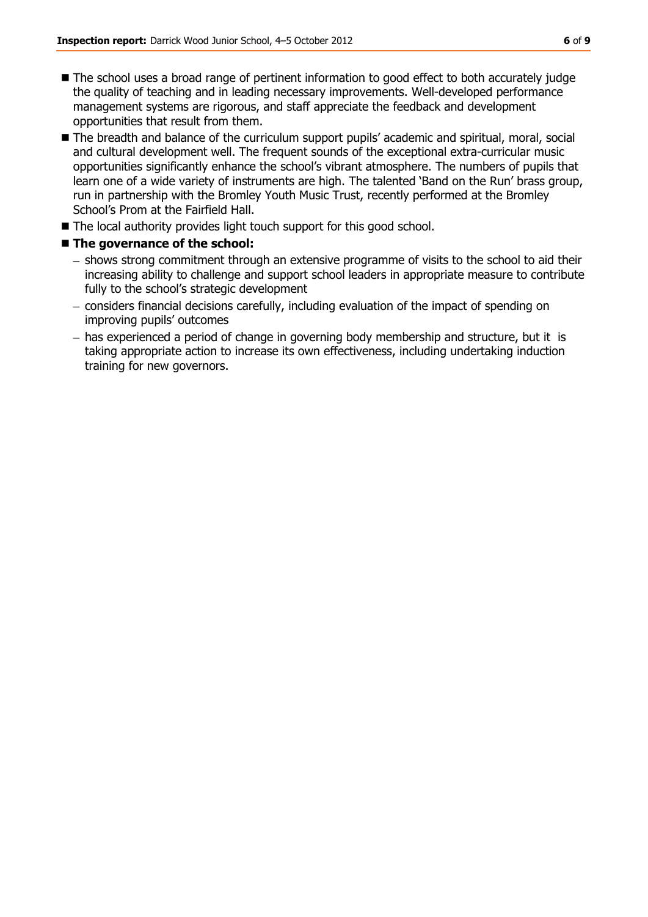- The school uses a broad range of pertinent information to good effect to both accurately judge the quality of teaching and in leading necessary improvements. Well-developed performance management systems are rigorous, and staff appreciate the feedback and development opportunities that result from them.
- The breadth and balance of the curriculum support pupils' academic and spiritual, moral, social and cultural development well. The frequent sounds of the exceptional extra-curricular music opportunities significantly enhance the school's vibrant atmosphere. The numbers of pupils that learn one of a wide variety of instruments are high. The talented 'Band on the Run' brass group, run in partnership with the Bromley Youth Music Trust, recently performed at the Bromley School's Prom at the Fairfield Hall.
- The local authority provides light touch support for this good school.

### ■ The governance of the school:

- shows strong commitment through an extensive programme of visits to the school to aid their increasing ability to challenge and support school leaders in appropriate measure to contribute fully to the school's strategic development
- considers financial decisions carefully, including evaluation of the impact of spending on improving pupils' outcomes
- has experienced a period of change in governing body membership and structure, but it is taking appropriate action to increase its own effectiveness, including undertaking induction training for new governors.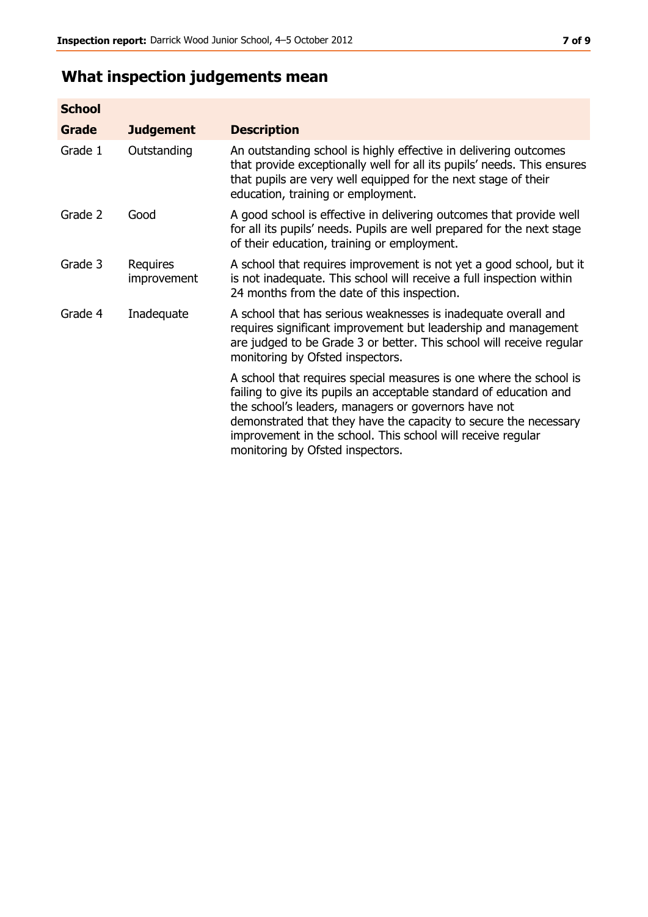## **What inspection judgements mean**

| <b>School</b> |                         |                                                                                                                                                                                                                                                                                                                                                                         |
|---------------|-------------------------|-------------------------------------------------------------------------------------------------------------------------------------------------------------------------------------------------------------------------------------------------------------------------------------------------------------------------------------------------------------------------|
| <b>Grade</b>  | <b>Judgement</b>        | <b>Description</b>                                                                                                                                                                                                                                                                                                                                                      |
| Grade 1       | Outstanding             | An outstanding school is highly effective in delivering outcomes<br>that provide exceptionally well for all its pupils' needs. This ensures<br>that pupils are very well equipped for the next stage of their<br>education, training or employment.                                                                                                                     |
| Grade 2       | Good                    | A good school is effective in delivering outcomes that provide well<br>for all its pupils' needs. Pupils are well prepared for the next stage<br>of their education, training or employment.                                                                                                                                                                            |
| Grade 3       | Requires<br>improvement | A school that requires improvement is not yet a good school, but it<br>is not inadequate. This school will receive a full inspection within<br>24 months from the date of this inspection.                                                                                                                                                                              |
| Grade 4       | Inadequate              | A school that has serious weaknesses is inadequate overall and<br>requires significant improvement but leadership and management<br>are judged to be Grade 3 or better. This school will receive regular<br>monitoring by Ofsted inspectors.                                                                                                                            |
|               |                         | A school that requires special measures is one where the school is<br>failing to give its pupils an acceptable standard of education and<br>the school's leaders, managers or governors have not<br>demonstrated that they have the capacity to secure the necessary<br>improvement in the school. This school will receive regular<br>monitoring by Ofsted inspectors. |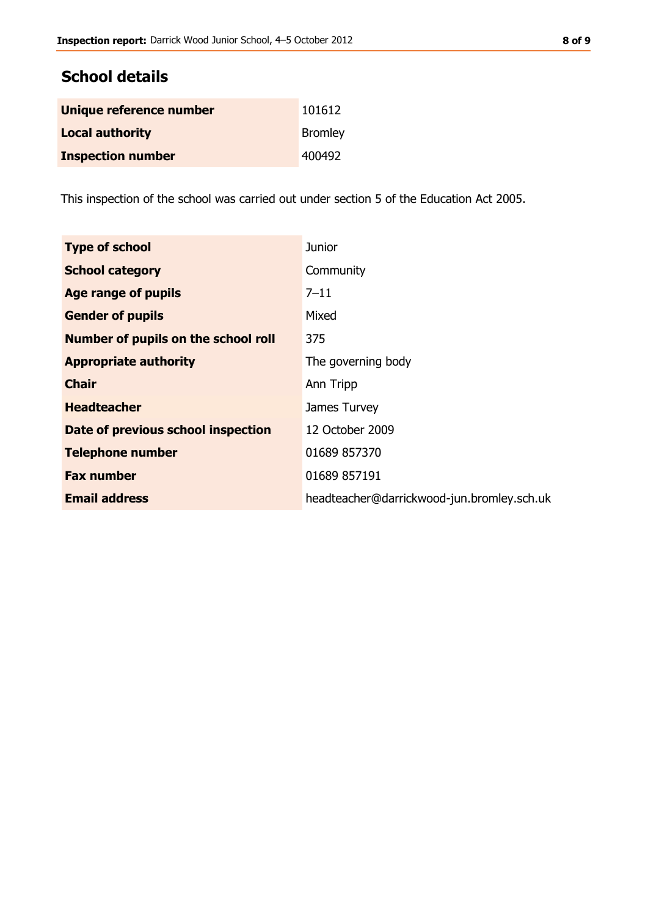### **School details**

| Unique reference number  | 101612         |
|--------------------------|----------------|
| <b>Local authority</b>   | <b>Bromley</b> |
| <b>Inspection number</b> | 400492         |

This inspection of the school was carried out under section 5 of the Education Act 2005.

| <b>Type of school</b>               | <b>Junior</b>                              |
|-------------------------------------|--------------------------------------------|
| <b>School category</b>              | Community                                  |
| Age range of pupils                 | $7 - 11$                                   |
| <b>Gender of pupils</b>             | Mixed                                      |
| Number of pupils on the school roll | 375                                        |
| <b>Appropriate authority</b>        | The governing body                         |
| <b>Chair</b>                        | Ann Tripp                                  |
| <b>Headteacher</b>                  | James Turvey                               |
| Date of previous school inspection  | 12 October 2009                            |
| <b>Telephone number</b>             | 01689 857370                               |
| <b>Fax number</b>                   | 01689 857191                               |
| <b>Email address</b>                | headteacher@darrickwood-jun.bromley.sch.uk |